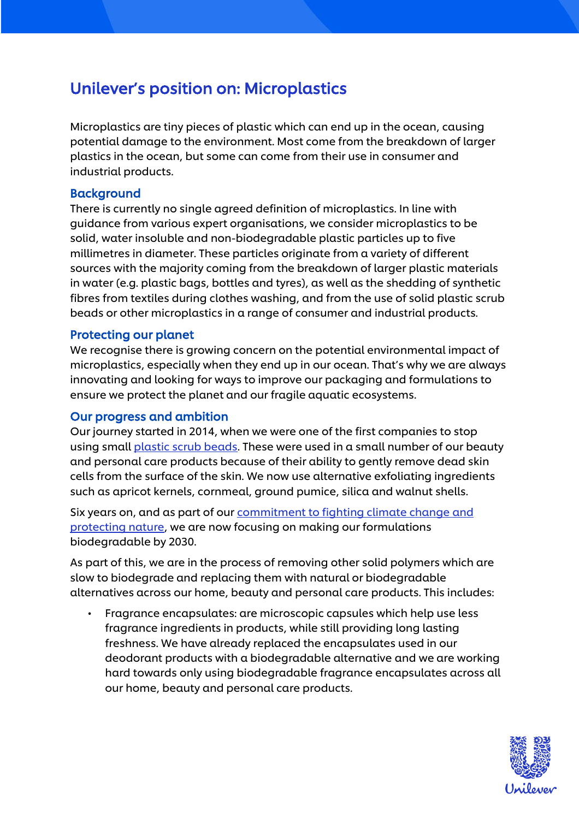## Unilever's position on: Microplastics

Microplastics are tiny pieces of plastic which can end up in the ocean, causing potential damage to the environment. Most come from the breakdown of larger plastics in the ocean, but some can come from their use in consumer and industrial products.

## Background

There is currently no single agreed definition of microplastics. In line with guidance from various expert organisations, we consider microplastics to be solid, water insoluble and non-biodegradable plastic particles up to five millimetres in diameter. These particles originate from a variety of different sources with the majority coming from the breakdown of larger plastic materials in water (e.g. plastic bags, bottles and tyres), as well as the shedding of synthetic fibres from textiles during clothes washing, and from the use of solid plastic scrub beads or other microplastics in a range of consumer and industrial products.

## Protecting our planet

We recognise there is growing concern on the potential environmental impact of microplastics, especially when they end up in our ocean. That's why we are always innovating and looking for ways to improve our packaging and formulations to ensure we protect the planet and our fragile aquatic ecosystems.

## Our progress and ambition

Our journey started in 2014, when we were one of the first companies to stop using smal[l plastic scrub beads.](https://www.unilever.com/brands/Our-products-and-ingredients/Your-ingredient-questions-answered/Plastic-scrub-beads.html) These were used in a small number of our beauty and personal care products because of their ability to gently remove dead skin cells from the surface of the skin. We now use alternative exfoliating ingredients such as apricot kernels, cornmeal, ground pumice, silica and walnut shells.

Six years on, and as part of our [commitment to fighting climate change and](https://www.unilever.com/climate-and-nature.html)  [protecting nature,](https://www.unilever.com/climate-and-nature.html) we are now focusing on making our formulations biodegradable by 2030.

As part of this, we are in the process of removing other solid polymers which are slow to biodegrade and replacing them with natural or biodegradable alternatives across our home, beauty and personal care products. This includes:

• Fragrance encapsulates: are microscopic capsules which help use less fragrance ingredients in products, while still providing long lasting freshness. We have already replaced the encapsulates used in our deodorant products with a biodegradable alternative and we are working hard towards only using biodegradable fragrance encapsulates across all our home, beauty and personal care products.